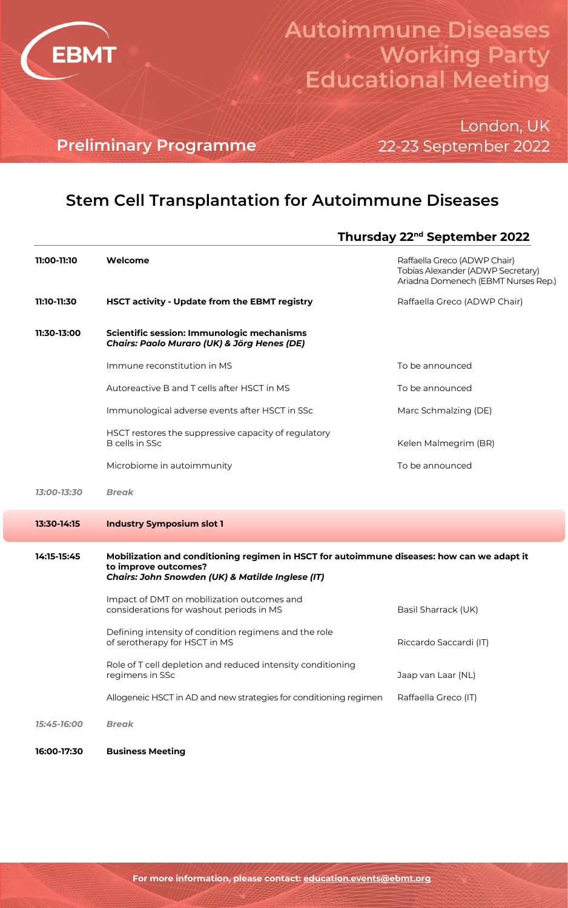

# **Autoimmune Diseases Working Party Educational Meeting**

London, UK 22-23 September 2022

**Preliminary Programme**

## **Stem Cell Transplantation for Autoimmune Diseases**

#### **Thursday 22nd September 2022**

| 11:00-11:10 | Welcome                                                                                                                                                                | Raffaella Greco (ADWP Chair)<br>Tobias Alexander (ADWP Secretary)<br>Ariadna Domenech (EBMT Nurses Rep.) |
|-------------|------------------------------------------------------------------------------------------------------------------------------------------------------------------------|----------------------------------------------------------------------------------------------------------|
| 11:10-11:30 | HSCT activity - Update from the EBMT registry                                                                                                                          | Raffaella Greco (ADWP Chair)                                                                             |
| 11:30-13:00 | Scientific session: Immunologic mechanisms<br>Chairs: Paolo Muraro (UK) & Jörg Henes (DE)                                                                              |                                                                                                          |
|             | Immune reconstitution in MS                                                                                                                                            | To be announced                                                                                          |
|             | Autoreactive B and T cells after HSCT in MS                                                                                                                            | To be announced                                                                                          |
|             | Immunological adverse events after HSCT in SSc                                                                                                                         | Marc Schmalzing (DE)                                                                                     |
|             | HSCT restores the suppressive capacity of regulatory<br><b>B</b> cells in SSc                                                                                          | Kelen Malmegrim (BR)                                                                                     |
|             | Microbiome in autoimmunity                                                                                                                                             | To be announced                                                                                          |
| 13:00-13:30 | <b>Break</b>                                                                                                                                                           |                                                                                                          |
|             |                                                                                                                                                                        |                                                                                                          |
| 13:30-14:15 | <b>Industry Symposium slot 1</b>                                                                                                                                       |                                                                                                          |
| 14:15-15:45 | Mobilization and conditioning regimen in HSCT for autoimmune diseases: how can we adapt it<br>to improve outcomes?<br>Chairs: John Snowden (UK) & Matilde Inglese (IT) |                                                                                                          |
|             | Impact of DMT on mobilization outcomes and<br>considerations for washout periods in MS                                                                                 | Basil Sharrack (UK)                                                                                      |
|             | Defining intensity of condition regimens and the role<br>of serotherapy for HSCT in MS                                                                                 | Riccardo Saccardi (IT)                                                                                   |
|             | Role of T cell depletion and reduced intensity conditioning<br>regimens in SSc                                                                                         | Jaap van Laar (NL)                                                                                       |
|             | Allogeneic HSCT in AD and new strategies for conditioning regimen                                                                                                      | Raffaella Greco (IT)                                                                                     |
| 15:45-16:00 | <b>Break</b>                                                                                                                                                           |                                                                                                          |